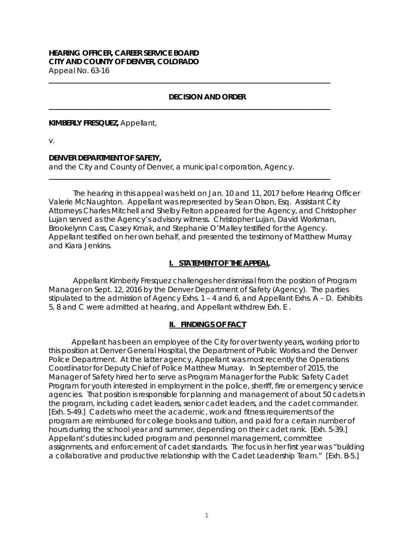#### **HEARING OFFICER, CAREER SERVICE BOARD CITY AND COUNTY OF DENVER, COLORADO** Appeal No. 63-16

### **DECISION AND ORDER**

**\_\_\_\_\_\_\_\_\_\_\_\_\_\_\_\_\_\_\_\_\_\_\_\_\_\_\_\_\_\_\_\_\_\_\_\_\_\_\_\_\_\_\_\_\_\_\_\_\_\_\_\_\_\_\_\_\_\_\_\_\_\_\_\_\_\_\_\_\_\_\_\_\_\_\_\_\_\_** 

**\_\_\_\_\_\_\_\_\_\_\_\_\_\_\_\_\_\_\_\_\_\_\_\_\_\_\_\_\_\_\_\_\_\_\_\_\_\_\_\_\_\_\_\_\_\_\_\_\_\_\_\_\_\_\_\_\_\_\_\_\_\_\_\_\_\_\_\_\_\_\_\_\_\_\_\_\_\_** 

**\_\_\_\_\_\_\_\_\_\_\_\_\_\_\_\_\_\_\_\_\_\_\_\_\_\_\_\_\_\_\_\_\_\_\_\_\_\_\_\_\_\_\_\_\_\_\_\_\_\_\_\_\_\_\_\_\_\_\_\_\_\_\_\_\_\_\_\_\_\_\_\_\_\_\_\_\_\_** 

#### **KIMBERLY FRESQUEZ,** Appellant,

v.

#### **DENVER DEPARTMENT OF SAFETY,**

and the City and County of Denver, a municipal corporation, Agency.

The hearing in this appeal was held on Jan. 10 and 11, 2017 before Hearing Officer Valerie McNaughton. Appellant was represented by Sean Olson, Esq. Assistant City Attorneys Charles Mitchell and Shelby Felton appeared for the Agency, and Christopher Lujan served as the Agency's advisory witness. Christopher Lujan, David Workman, Brookelynn Cass, Casey Kmak, and Stephanie O'Malley testified for the Agency. Appellant testified on her own behalf, and presented the testimony of Matthew Murray and Kiara Jenkins.

# **I. STATEMENT OF THE APPEAL**

 Appellant Kimberly Fresquez challenges her dismissal from the position of Program Manager on Sept. 12, 2016 by the Denver Department of Safety (Agency). The parties stipulated to the admission of Agency Exhs. 1 – 4 and 6, and Appellant Exhs. A – D. Exhibits 5, 8 and C were admitted at hearing, and Appellant withdrew Exh. E .

#### **II. FINDINGS OF FACT**

 Appellant has been an employee of the City for over twenty years, working prior to this position at Denver General Hospital, the Department of Public Works and the Denver Police Department. At the latter agency, Appellant was most recently the Operations Coordinator for Deputy Chief of Police Matthew Murray. In September of 2015, the Manager of Safety hired her to serve as Program Manager for the Public Safety Cadet Program for youth interested in employment in the police, sheriff, fire or emergency service agencies. That position is responsible for planning and management of about 50 cadets in the program, including cadet leaders, senior cadet leaders, and the cadet commander. [Exh. 5-49.] Cadets who meet the academic, work and fitness requirements of the program are reimbursed for college books and tuition, and paid for a certain number of hours during the school year and summer, depending on their cadet rank. [Exh. 5-39.] Appellant's duties included program and personnel management, committee assignments, and enforcement of cadet standards. The focus in her first year was "building a collaborative and productive relationship with the Cadet Leadership Team." [Exh. B-5.]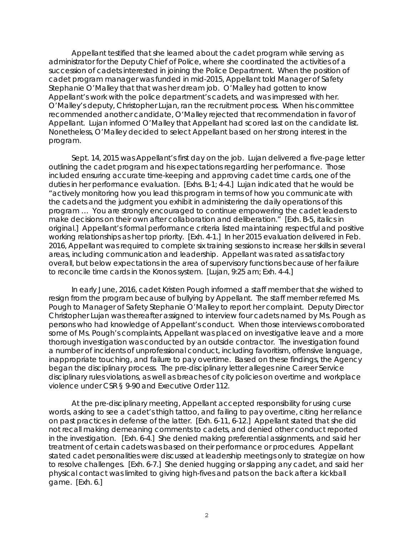Appellant testified that she learned about the cadet program while serving as administrator for the Deputy Chief of Police, where she coordinated the activities of a succession of cadets interested in joining the Police Department. When the position of cadet program manager was funded in mid-2015, Appellant told Manager of Safety Stephanie O'Malley that that was her dream job. O'Malley had gotten to know Appellant's work with the police department's cadets, and was impressed with her. O'Malley's deputy, Christopher Lujan, ran the recruitment process. When his committee recommended another candidate, O'Malley rejected that recommendation in favor of Appellant. Lujan informed O'Malley that Appellant had scored last on the candidate list. Nonetheless, O'Malley decided to select Appellant based on her strong interest in the program.

 Sept. 14, 2015 was Appellant's first day on the job. Lujan delivered a five-page letter outlining the cadet program and his expectations regarding her performance. Those included ensuring accurate time-keeping and approving cadet time cards, one of the duties in her performance evaluation. [Exhs. B-1; 4-4.] Lujan indicated that he would be "actively monitoring how you lead this program in terms of how you communicate with the cadets and the judgment you exhibit in administering the daily operations of this program … You are *strongly encouraged* to continue empowering the cadet leaders to make decisions on their own after collaboration and deliberation." [Exh. B-5, italics in original.] Appellant's formal performance criteria listed maintaining respectful and positive working relationships as her top priority. [Exh. 4-1.] In her 2015 evaluation delivered in Feb. 2016, Appellant was required to complete six training sessions to increase her skills in several areas, including communication and leadership. Appellant was rated as satisfactory overall, but below expectations in the area of supervisory functions because of her failure to reconcile time cards in the Kronos system. [Lujan, 9:25 am; Exh. 4-4.]

 In early June, 2016, cadet Kristen Pough informed a staff member that she wished to resign from the program because of bullying by Appellant. The staff member referred Ms. Pough to Manager of Safety Stephanie O'Malley to report her complaint. Deputy Director Christopher Lujan was thereafter assigned to interview four cadets named by Ms. Pough as persons who had knowledge of Appellant's conduct. When those interviews corroborated some of Ms. Pough's complaints, Appellant was placed on investigative leave and a more thorough investigation was conducted by an outside contractor. The investigation found a number of incidents of unprofessional conduct, including favoritism, offensive language, inappropriate touching, and failure to pay overtime. Based on these findings, the Agency began the disciplinary process. The pre-disciplinary letter alleges nine Career Service disciplinary rules violations, as well as breaches of city policies on overtime and workplace violence under CSR § 9-90 and Executive Order 112.

 At the pre-disciplinary meeting, Appellant accepted responsibility for using curse words, asking to see a cadet's thigh tattoo, and failing to pay overtime, citing her reliance on past practices in defense of the latter. [Exh. 6-11, 6-12.] Appellant stated that she did not recall making demeaning comments to cadets, and denied other conduct reported in the investigation. [Exh. 6-4.] She denied making preferential assignments, and said her treatment of certain cadets was based on their performance or procedures. Appellant stated cadet personalities were discussed at leadership meetings only to strategize on how to resolve challenges. [Exh. 6-7.] She denied hugging or slapping any cadet, and said her physical contact was limited to giving high-fives and pats on the back after a kickball game. [Exh. 6.]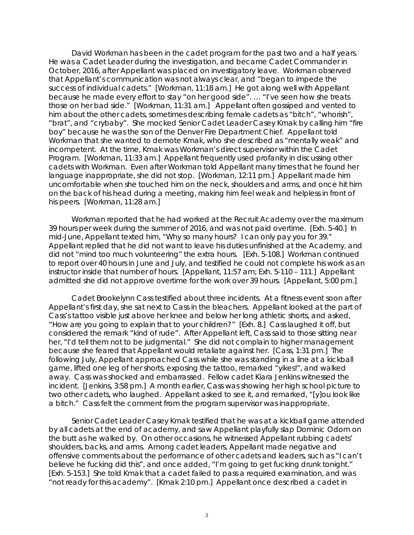David Workman has been in the cadet program for the past two and a half years. He was a Cadet Leader during the investigation, and became Cadet Commander in October, 2016, after Appellant was placed on investigatory leave. Workman observed that Appellant's communication was not always clear, and "began to impede the success of individual cadets." [Workman, 11:18 am.] He got along well with Appellant because he made every effort to stay "on her good side". … "I've seen how she treats those on her bad side." [Workman, 11:31 am.] Appellant often gossiped and vented to him about the other cadets, sometimes describing female cadets as "bitch", "whorish", "brat", and "crybaby". She mocked Senior Cadet Leader Casey Kmak by calling him "fire boy" because he was the son of the Denver Fire Department Chief. Appellant told Workman that she wanted to demote Kmak, who she described as "mentally weak" and incompetent. At the time, Kmak was Workman's direct supervisor within the Cadet Program. [Workman, 11:33 am.] Appellant frequently used profanity in discussing other cadets with Workman. Even after Workman told Appellant many times that he found her language inappropriate, she did not stop. [Workman, 12:11 pm.] Appellant made him uncomfortable when she touched him on the neck, shoulders and arms, and once hit him on the back of his head during a meeting, making him feel weak and helpless in front of his peers. [Workman, 11:28 am.]

 Workman reported that he had worked at the Recruit Academy over the maximum 39 hours per week during the summer of 2016, and was not paid overtime. [Exh. 5-40.] In mid-June, Appellant texted him, "Why so many hours? I can only pay you for 39." Appellant replied that he did not want to leave his duties unfinished at the Academy, and did not "mind too much volunteering" the extra hours. [Exh. 5-108.] Workman continued to report over 40 hours in June and July, and testified he could not complete his work as an instructor inside that number of hours. [Appellant, 11:57 am; Exh. 5-110 – 111.] Appellant admitted she did not approve overtime for the work over 39 hours. [Appellant, 5:00 pm.]

 Cadet Brookelynn Cass testified about three incidents. At a fitness event soon after Appellant's first day, she sat next to Cass in the bleachers. Appellant looked at the part of Cass's tattoo visible just above her knee and below her long athletic shorts, and asked, "How are you going to explain that to your children?" [Exh. 8.] Cass laughed it off, but considered the remark "kind of rude". After Appellant left, Cass said to those sitting near her, "I'd tell them not to be judgmental." She did not complain to higher management because she feared that Appellant would retaliate against her. [Cass, 1:31 pm.] The following July, Appellant approached Cass while she was standing in a line at a kickball game, lifted one leg of her shorts, exposing the tattoo, remarked "yikes!", and walked away. Cass was shocked and embarrassed. Fellow cadet Kiara Jenkins witnessed the incident. [Jenkins, 3:58 pm.] A month earlier, Cass was showing her high school picture to two other cadets, who laughed. Appellant asked to see it, and remarked, "[y]ou look like a bitch." Cass felt the comment from the program supervisor was inappropriate.

 Senior Cadet Leader Casey Kmak testified that he was at a kickball game attended by all cadets at the end of academy, and saw Appellant playfully slap Dominic Odom on the butt as he walked by. On other occasions, he witnessed Appellant rubbing cadets' shoulders, backs, and arms. Among cadet leaders, Appellant made negative and offensive comments about the performance of other cadets and leaders, such as "I can't believe he fucking did this", and once added, "I'm going to get fucking drunk tonight." [Exh. 5-153.] She told Kmak that a cadet failed to pass a required examination, and was "not ready for this academy". [Kmak 2:10 pm.] Appellant once described a cadet in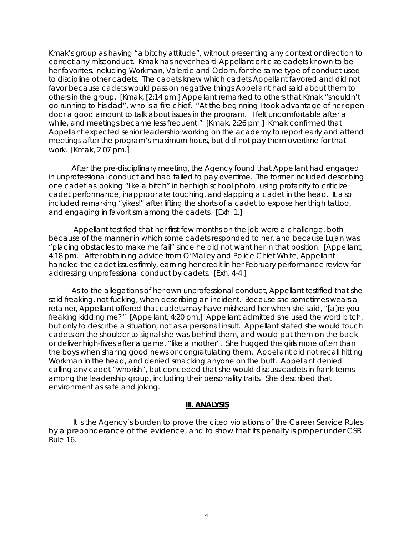Kmak's group as having "a bitchy attitude", without presenting any context or direction to correct any misconduct. Kmak has never heard Appellant criticize cadets known to be her favorites, including Workman, Valerde and Odom, for the same type of conduct used to discipline other cadets. The cadets knew which cadets Appellant favored and did not favor because cadets would pass on negative things Appellant had said about them to others in the group. [Kmak, [2:14 pm.] Appellant remarked to others that Kmak "shouldn't go running to his dad", who is a fire chief. "At the beginning I took advantage of her open door a good amount to talk about issues in the program. I felt uncomfortable after a while, and meetings became less frequent." [Kmak, 2:26 pm.] Kmak confirmed that Appellant expected senior leadership working on the academy to report early and attend meetings after the program's maximum hours, but did not pay them overtime for that work. [Kmak, 2:07 pm.]

 After the pre-disciplinary meeting, the Agency found that Appellant had engaged in unprofessional conduct and had failed to pay overtime. The former included describing one cadet as looking "like a bitch" in her high school photo, using profanity to criticize cadet performance, inappropriate touching, and slapping a cadet in the head. It also included remarking "yikes!" after lifting the shorts of a cadet to expose her thigh tattoo, and engaging in favoritism among the cadets. [Exh. 1.]

 Appellant testified that her first few months on the job were a challenge, both because of the manner in which some cadets responded to her, and because Lujan was "placing obstacles to make me fail" since he did not want her in that position. [Appellant, 4:18 pm.] After obtaining advice from O'Malley and Police Chief White, Appellant handled the cadet issues firmly, earning her credit in her February performance review for addressing unprofessional conduct by cadets. [Exh. 4-4.]

 As to the allegations of her own unprofessional conduct, Appellant testified that she said freaking, not fucking, when describing an incident. Because she sometimes wears a retainer, Appellant offered that cadets may have misheard her when she said, "[a]re you freaking kidding me?" [Appellant, 4:20 pm.] Appellant admitted she used the word bitch, but only to describe a situation, not as a personal insult. Appellant stated she would touch cadets on the shoulder to signal she was behind them, and would pat them on the back or deliver high-fives after a game, "like a mother". She hugged the girls more often than the boys when sharing good news or congratulating them. Appellant did not recall hitting Workman in the head, and denied smacking anyone on the butt. Appellant denied calling any cadet "whorish", but conceded that she would discuss cadets in frank terms among the leadership group, including their personality traits. She described that environment as safe and joking.

#### **III. ANALYSIS**

 It is the Agency's burden to prove the cited violations of the Career Service Rules by a preponderance of the evidence, and to show that its penalty is proper under CSR Rule 16.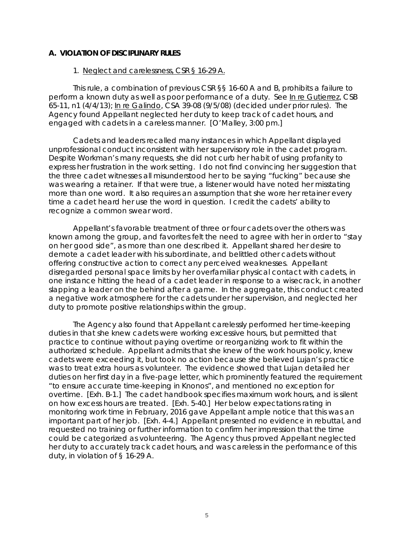# **A. VIOLATION OF DISCIPLINARY RULES**

#### 1. Neglect and carelessness, CSR § 16-29 A.

 This rule, a combination of previous CSR §§ 16-60 A and B, prohibits a failure to perform a known duty as well as poor performance of a duty. *See* In re Gutierrez, CSB 65-11, n1 (4/4/13); In re Galindo, CSA 39-08 (9/5/08) (decided under prior rules). The Agency found Appellant neglected her duty to keep track of cadet hours, and engaged with cadets in a careless manner. [O'Malley, 3:00 pm.]

 Cadets and leaders recalled many instances in which Appellant displayed unprofessional conduct inconsistent with her supervisory role in the cadet program. Despite Workman's many requests, she did not curb her habit of using profanity to express her frustration in the work setting. I do not find convincing her suggestion that the three cadet witnesses all misunderstood her to be saying "fucking" because she was wearing a retainer. If that were true, a listener would have noted her misstating more than one word. It also requires an assumption that she wore her retainer every time a cadet heard her use the word in question. I credit the cadets' ability to recognize a common swear word.

 Appellant's favorable treatment of three or four cadets over the others was known among the group, and favorites felt the need to agree with her in order to "stay on her good side", as more than one described it. Appellant shared her desire to demote a cadet leader with his subordinate, and belittled other cadets without offering constructive action to correct any perceived weaknesses. Appellant disregarded personal space limits by her overfamiliar physical contact with cadets, in one instance hitting the head of a cadet leader in response to a wisecrack, in another slapping a leader on the behind after a game. In the aggregate, this conduct created a negative work atmosphere for the cadets under her supervision, and neglected her duty to promote positive relationships within the group.

 The Agency also found that Appellant carelessly performed her time-keeping duties in that she knew cadets were working excessive hours, but permitted that practice to continue without paying overtime or reorganizing work to fit within the authorized schedule. Appellant admits that she knew of the work hours policy, knew cadets were exceeding it, but took no action because she believed Lujan's practice was to treat extra hours as volunteer. The evidence showed that Lujan detailed her duties on her first day in a five-page letter, which prominently featured the requirement "to ensure accurate time-keeping in Knonos", and mentioned no exception for overtime. [Exh. B-1.] The cadet handbook specifies maximum work hours, and is silent on how excess hours are treated. [Exh. 5-40.] Her below expectations rating in monitoring work time in February, 2016 gave Appellant ample notice that this was an important part of her job. [Exh. 4-4.] Appellant presented no evidence in rebuttal, and requested no training or further information to confirm her impression that the time could be categorized as volunteering. The Agency thus proved Appellant neglected her duty to accurately track cadet hours, and was careless in the performance of this duty, in violation of § 16-29 A.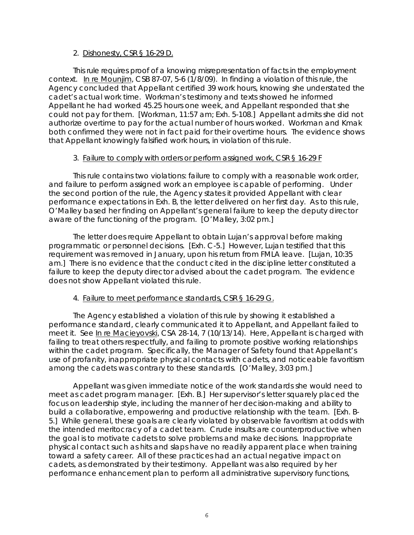#### 2. Dishonesty, CSR § 16-29 D.

 This rule requires proof of a knowing misrepresentation of facts in the employment context. In re Mounjim, CSB 87-07, 5-6 (1/8/09). In finding a violation of this rule, the Agency concluded that Appellant certified 39 work hours, knowing she understated the cadet's actual work time. Workman's testimony and texts showed he informed Appellant he had worked 45.25 hours one week, and Appellant responded that she could not pay for them. [Workman, 11:57 am; Exh. 5-108.] Appellant admits she did not authorize overtime to pay for the actual number of hours worked. Workman and Kmak both confirmed they were not in fact paid for their overtime hours. The evidence shows that Appellant knowingly falsified work hours, in violation of this rule.

# 3. Failure to comply with orders or perform assigned work, CSR § 16-29 F

 This rule contains two violations: failure to comply with a reasonable work order, and failure to perform assigned work an employee is capable of performing. Under the second portion of the rule, the Agency states it provided Appellant with clear performance expectations in Exh. B, the letter delivered on her first day. As to this rule, O'Malley based her finding on Appellant's general failure to keep the deputy director aware of the functioning of the program. [O'Malley, 3:02 pm.]

 The letter does require Appellant to obtain Lujan's approval before making programmatic or personnel decisions. [Exh. C-5.] However, Lujan testified that this requirement was removed in January, upon his return from FMLA leave. [Lujan, 10:35 am.] There is no evidence that the conduct cited in the discipline letter constituted a failure to keep the deputy director advised about the cadet program. The evidence does not show Appellant violated this rule.

# 4. Failure to meet performance standards, CSR § 16-29 G.

 The Agency established a violation of this rule by showing it established a performance standard, clearly communicated it to Appellant, and Appellant failed to meet it. *See* In re Macieyovski, CSA 28-14, 7 (10/13/14). Here, Appellant is charged with failing to treat others respectfully, and failing to promote positive working relationships within the cadet program. Specifically, the Manager of Safety found that Appellant's use of profanity, inappropriate physical contacts with cadets, and noticeable favoritism among the cadets was contrary to these standards. [O'Malley, 3:03 pm.]

 Appellant was given immediate notice of the work standards she would need to meet as cadet program manager. [Exh. B.] Her supervisor's letter squarely placed the focus on leadership style, including the manner of her decision-making and ability to build a collaborative, empowering and productive relationship with the team. [Exh. B-5.] While general, these goals are clearly violated by observable favoritism at odds with the intended meritocracy of a cadet team. Crude insults are counterproductive when the goal is to motivate cadets to solve problems and make decisions. Inappropriate physical contact such as hits and slaps have no readily apparent place when training toward a safety career. All of these practices had an actual negative impact on cadets, as demonstrated by their testimony. Appellant was also required by her performance enhancement plan to perform all administrative supervisory functions,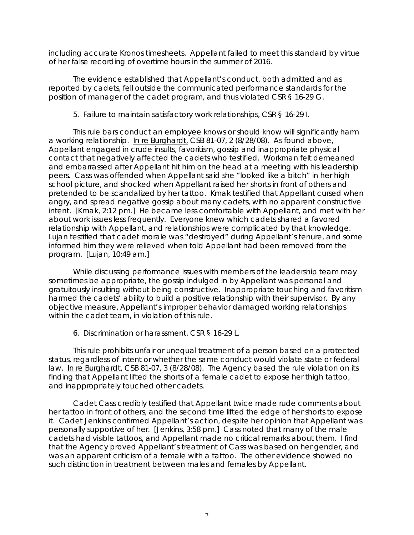including accurate Kronos timesheets. Appellant failed to meet this standard by virtue of her false recording of overtime hours in the summer of 2016.

 The evidence established that Appellant's conduct, both admitted and as reported by cadets, fell outside the communicated performance standards for the position of manager of the cadet program, and thus violated CSR § 16-29 G.

# 5. Failure to maintain satisfactory work relationships, CSR § 16-29 I.

 This rule bars conduct an employee knows or should know will significantly harm a working relationship. In re Burghardt, CSB 81-07, 2 (8/28/08). As found above, Appellant engaged in crude insults, favoritism, gossip and inappropriate physical contact that negatively affected the cadets who testified. Workman felt demeaned and embarrassed after Appellant hit him on the head at a meeting with his leadership peers. Cass was offended when Appellant said she "looked like a bitch" in her high school picture, and shocked when Appellant raised her shorts in front of others and pretended to be scandalized by her tattoo. Kmak testified that Appellant cursed when angry, and spread negative gossip about many cadets, with no apparent constructive intent. [Kmak, 2:12 pm.] He became less comfortable with Appellant, and met with her about work issues less frequently. Everyone knew which cadets shared a favored relationship with Appellant, and relationships were complicated by that knowledge. Lujan testified that cadet morale was "destroyed" during Appellant's tenure, and some informed him they were relieved when told Appellant had been removed from the program. [Lujan, 10:49 am.]

 While discussing performance issues with members of the leadership team may sometimes be appropriate, the gossip indulged in by Appellant was personal and gratuitously insulting without being constructive. Inappropriate touching and favoritism harmed the cadets' ability to build a positive relationship with their supervisor. By any objective measure, Appellant's improper behavior damaged working relationships within the cadet team, in violation of this rule.

# 6. Discrimination or harassment, CSR § 16-29 L.

This rule prohibits unfair or unequal treatment of a person based on a protected status, regardless of intent or whether the same conduct would violate state or federal law. In re Burghardt, CSB 81-07, 3 (8/28/08). The Agency based the rule violation on its finding that Appellant lifted the shorts of a female cadet to expose her thigh tattoo, and inappropriately touched other cadets.

 Cadet Cass credibly testified that Appellant twice made rude comments about her tattoo in front of others, and the second time lifted the edge of her shorts to expose it. Cadet Jenkins confirmed Appellant's action, despite her opinion that Appellant was personally supportive of her. [Jenkins, 3:58 pm.] Cass noted that many of the male cadets had visible tattoos, and Appellant made no critical remarks about them. I find that the Agency proved Appellant's treatment of Cass was based on her gender, and was an apparent criticism of a female with a tattoo. The other evidence showed no such distinction in treatment between males and females by Appellant.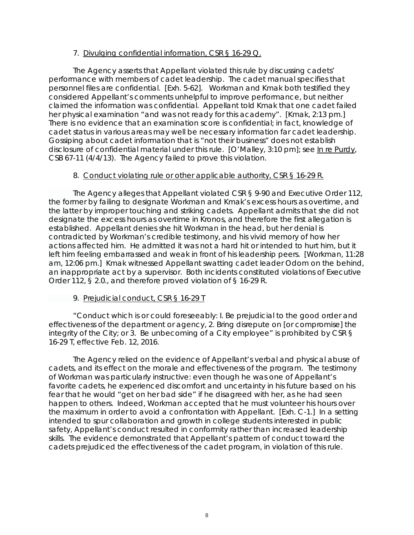# 7. Divulging confidential information, CSR § 16-29 Q.

 The Agency asserts that Appellant violated this rule by discussing cadets' performance with members of cadet leadership. The cadet manual specifies that personnel files are confidential. [Exh. 5-62]. Workman and Kmak both testified they considered Appellant's comments unhelpful to improve performance, but neither claimed the information was confidential. Appellant told Kmak that one cadet failed her physical examination "and was not ready for this academy". [Kmak, 2:13 pm.] There is no evidence that an examination score is confidential; in fact, knowledge of cadet status in various areas may well be necessary information far cadet leadership. Gossiping about cadet information that is "not their business" does not establish disclosure of confidential material under this rule. [O'Malley, 3:10 pm]; *see* In re Purdy, CSB 67-11 (4/4/13). The Agency failed to prove this violation.

# 8. Conduct violating rule or other applicable authority, CSR § 16-29 R.

 The Agency alleges that Appellant violated CSR § 9-90 and Executive Order 112, the former by failing to designate Workman and Kmak's excess hours as overtime, and the latter by improper touching and striking cadets. Appellant admits that she did not designate the excess hours as overtime in Kronos, and therefore the first allegation is established. Appellant denies she hit Workman in the head, but her denial is contradicted by Workman's credible testimony, and his vivid memory of how her actions affected him. He admitted it was not a hard hit or intended to hurt him, but it left him feeling embarrassed and weak in front of his leadership peers. [Workman, 11:28 am, 12:06 pm.] Kmak witnessed Appellant swatting cadet leader Odom on the behind, an inappropriate act by a supervisor. Both incidents constituted violations of Executive Order 112, § 2.0., and therefore proved violation of § 16-29 R.

# 9. Prejudicial conduct, CSR § 16-29 T

"Conduct which is or could foreseeably: I. Be prejudicial to the good order and effectiveness of the department or agency, 2. Bring disrepute on [or compromise] the integrity of the City; or 3. Be unbecoming of a City employee" is prohibited by CSR § 16-29 T, effective Feb. 12, 2016.

The Agency relied on the evidence of Appellant's verbal and physical abuse of cadets, and its effect on the morale and effectiveness of the program. The testimony of Workman was particularly instructive: even though he was one of Appellant's favorite cadets, he experienced discomfort and uncertainty in his future based on his fear that he would "get on her bad side" if he disagreed with her, as he had seen happen to others. Indeed, Workman accepted that he must volunteer his hours over the maximum in order to avoid a confrontation with Appellant. [Exh. C-1.] In a setting intended to spur collaboration and growth in college students interested in public safety, Appellant's conduct resulted in conformity rather than increased leadership skills. The evidence demonstrated that Appellant's pattern of conduct toward the cadets prejudiced the effectiveness of the cadet program, in violation of this rule.